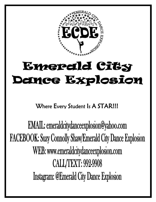

# **Emerald City Demce Explosion**

Where Every Student Is A STAR!!!

**EMAIL:** emeraldcitydanceexplosion@yahoo.com **FACEBOOK: Suzy Connolly Shaw/Emerald City Dance Explosion** WEB: www.emeraldcitydanceexplosion.com **CALL/TEXT: 992-9908 Instagram: @Emerald City Dance Explosion**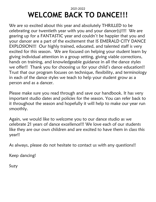### 2021-2022 **WELCOME BACK TO DANCE!!!**

We are so excited about this year and absolutely THRILLED to be celebrating our twentieth year with you and your dancer(s)!!!! We are gearing up for a FANTASTIC year and couldn't be happier that you and your dancer are a part of the excitement that IS EMERALD CITY DANCE EXPLOSION!!! Our highly trained, educated, and talented staff is very excited for this season. We are focused on helping your student learn by giving individual attention in a group setting, giving viable corrections, hands on training, and knowledgeable guidance in all the dance styles we offer!! Thank you for choosing us for your child's dance education!! Trust that our program focuses on technique, flexibility, and terminology in each of the dance styles we teach to help your student grow as a person and as a dancer.

Please make sure you read through and save our handbook. It has very important studio dates and policies for the season. You can refer back to it throughout the season and hopefully it will help to make our year run smoothly.

Again, we would like to welcome you to our dance studio as we celebrate 21 years of dance excellence!!! We love each of our students like they are our own children and are excited to have them in class this year!!

As always, please do not hesitate to contact us with any questions!!

Keep dancing!

Suzy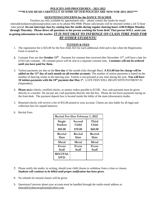#### **POLICIES AND PROCEDURES – 2021-2022 \*\*\*PLEASE READ CAREFULLY AS SOME OF OUR POLICIES ARE NEW FOR 2021-2022!\*\*\***

#### **QUESTIONS/CONCERNS for the DANCE TEACHER**

Teachers are only available by appointment only – please contact the studio by email: [emeraldcitydanceexplosion@yahoo.com](mailto:emeraldcitydanceexplosion@yahoo.com) or by phone 992-9908. Phone calls/emails will be returned within a 24-72 hour time period. **Do not interrupt class by coming into the studio during regular dancing hours 4:00-8:00pm Monday through Thursday. Please direct all questions to the person working the front desk! That person WILL assist you in getting information to the teacher.** *IT IS NOT OKAY TO INFRINGE ON CLASS TIME PAID FOR BY OTHER STUDENTS!*

#### **TUITION & FEES**

- 1. The registration fee is \$35.00 for the first child, \$25 for each additional child and is due when the Registration Form is turned in.
- **2.** Costume Fees are due **October 15<sup>th</sup>**. Payment for costume fees received after November 15<sup>th</sup>, will have a late fee of \$15 per costume. All costume prices will be sent in a separate costume note. **Costumes will not be ordered until you have paid for them.**
- 3. Tuition payments are due on the **first day** of the month (July through May). **A \$15.00 late fee charge will be added on the 11th day of each month on all overdue accounts**. The number of tuition payments is based on the number of dancing weeks in the dancing year. Tuition is not prorated at any time during the year. **You will have 10 tuition payments with the 10th payment due May 1st .** LATE FEES WILL BEGIN WITH PAYMENT #2 (September).
- 4. **Please m**ake checks, certified checks, or money orders payable to ECDE. Any cash payment must be given directly to a teacher. Do not put any cash payments directly into the box. Please do not leave payments laying on the front desk. The payment deposit box is located inside the lobby of the main (downstairs) studio.
- 5. Returned checks will receive a fee of \$35.00 posted to your account. Clients are also liable for all legal and collection fees for unpaid balances.

| <b>Recital Fee-Due February 1, 2022</b> |                  |                  |
|-----------------------------------------|------------------|------------------|
| Single<br><b>Student</b>                | Second<br>Child  | Third<br>Child   |
| \$85.00                                 | \$70.00          | \$60.00          |
| Recital<br>Shirt                        | Recital<br>Shirt | Recital<br>Shirt |
| Metal                                   | Metal            | Metal            |
| Event<br>Staff                          | Event<br>Staff   | Event<br>Staff   |
| <b>RECITAL</b><br>DVD                   |                  |                  |

6. Recital Fees:

- *7.* Please notify the studio, in writing, should your child choose to withdraw from a class or classes. *Students will continue to be billed until proper notification has been given.*
- 8. No refunds for missed classes will be given.
- 9. Questions/Concerns about your account must be handled through the studio email address at [emeraldcitydanceexplosion@yahoo.com.](mailto:emeraldcitydanceexplosion@yahoo.com)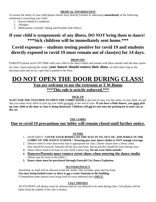#### **MEDICAL INFORMATION**

To ensure the safety of your child please inform Suzy directly (written or otherwise) **immediately** of the following situation(s) concerning your child.

- 1. Known Medical Conditions
- 2. Allergies
- 3. Medications Currently Taking and Possible Side Effects

#### **If your child is symptomatic of any illness, DO NOT bring them to dance! \*\*\*Sick children will be immediately sent home.\*\*\***

### **Covid exposure – students testing positive for covid 19 and students directly exposed to covid 19 must remain out of class(es) for 14 days.**

#### **DROP OFF**

PARENTS please arrive ON TIME with your child to the dance studio and remain with them outside until the door opens for class. Upon entering the studio, **your dancer should remove their shoes**, set their dance bag in the dressing room and sit on a spot that is pasted to the floor.

### **DO NOT OPEN THE DOOR DURING CLASS!**

**You are welcome to use the restroom at T.W.Boons \*\*\*This rule is strictly enforced.\*\*\***

#### **PICK UP**

**WAIT FOR THE TEACHER TO OPEN THE LOBBY DOOR** at the end of class. For the safety of your child, we ask that you make every effort to pick up your child promptly at the end of class. **If you have a little dancer, you must pick up your child at the door as class is being dismissed. Children will not be sent into the parking lot to meet you at the car.** 

#### **THE LOBBY**

#### **Due to covid 19 precautions our lobby will remain closed until further notice.**

#### **ATTIRE**

- 1. DANCERS!!! **COVER YOUR BODIES ON THE WAY IN TO, OUT OF, AND WHILE IN THE LOBBY OF THE DANCE SCHOOL! Wearing just your dance clothes is NOT enough coverage.**
- 2. Dancers need to wear dancewear that is appropriate for class. (Some classes have a dress code). Hair should be securely fastened off the face and neck; and no jewelry should be worn during class.
- **3.** Dance Shoes need to be kept in your child's dance bag. **Do not wear them outside!**
- **4. Dancers/Parents must remove street shoes when entering the dance studio**. (Shoes may be worn in the lobby.)
- **5. Dance shoes must be purchased through Emerald City Dance Explosion.**

#### **NO FOOD POLICY**

Absolutely no food will be allowed inside the studio. This includes, gum and fast food. **You may bring bottled water as there is not a water fountain in the building.**  \*Competition team dancers may bring food on extra rehearsal days **ONLY!**

#### **CELL PHONES**

All STUDENT cell phones must be silenced and are not allowed to be used during class. Cell phones will be taken from the student if this rule is broken.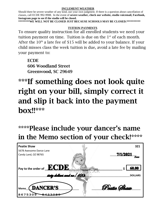#### **INCLEMENT WEATHER**

Should there be severe weather of any kind, use your own judgment. If there is a question about cancellation of classes, call ECDE 992-9908. In the event of **severe weather, check our website, studio voicemail, Facebook, Instagram page to see if the studio will be closed.** 

**\*\*\*\*\*\*\*\*WE WILL NOT BE CLOSED JUST BECAUSE SCHOOLS MAY BE CLOSED.\*\*\*\*\*\*\*\*\*\*** 

#### TUITION PAYMENTS

To ensure quality instruction for all enrolled students we need your tuition payment on time. Tuition is due on the  $1<sup>st</sup>$  of each month. After the  $10<sup>th</sup>$  a late fee of \$15 will be added to your balance. If your child misses class the week tuition is due, avoid a late fee by mailing your payment to:

**ECDE** 606 Woodland Street Greenwood, SC 29649

## \*\*\*If something does not look quite right on your bill, simply correct it and slip it back into the payment box!!\*\*\*

## \*\*\*\*Please include your dancer's name in the Memo section of your check!\*\*\*\*\*

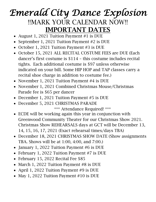## *Emerald City Dance Explosion*  !!MARK YOUR CALENDAR NOW!! IMPORTANT DATES

- August 1, 2021 Tuition Payment #1 is DUE
- September 1, 2021 Tuition Payment #2 is DUE
- October 1, 2021 Tuition Payment #3 is DUE
- October 15, 2021 ALL RECITAL COSTUME FEES are DUE (Each dancer's first costume is \$114 – this costume includes recital tights. Each additional costume is \$97 unless otherwise indicated on your bill. Some HIP HOP and TAP classes carry a recital shoe charge in addition to costume fee.)
- November 1, 2021 Tuition Payment #4 is DUE
- November 1, 2021 Combined Christmas Mouse/Christmas Parade fee is \$65 per dancer
- December 1, 2021 Tuition Payment #5 is DUE
- December 5, 2021 CHRISTMAS PARADE

\*\*\* Attendance Required! \*\*\*

- ECDE will be working again this year in conjunction with Greenwood Community Theater for our Christmas Show 2021. Christmas Show REHEARSALS days at GCT will be December 13, 14, 15, 16, 17, 2021 (Exact rehearsal times/days TBA)
- December 18, 2021 CHRISTMAS SHOW DATE (Show assignments TBA. Shows will be at 1:00, 4:00, and 7:00.)
- January 1, 2022 Tuition Payment #6 is DUE
- February 1, 2022 Tuition Payment #7 is DUE
- February 15, 2022 Recital Fee \$85
- March 1, 2022 Tuition Payment #8 is DUE
- April 1, 2022 Tuition Payment #9 is DUE
- May 1, 2022 Tuition Payment #10 is DUE